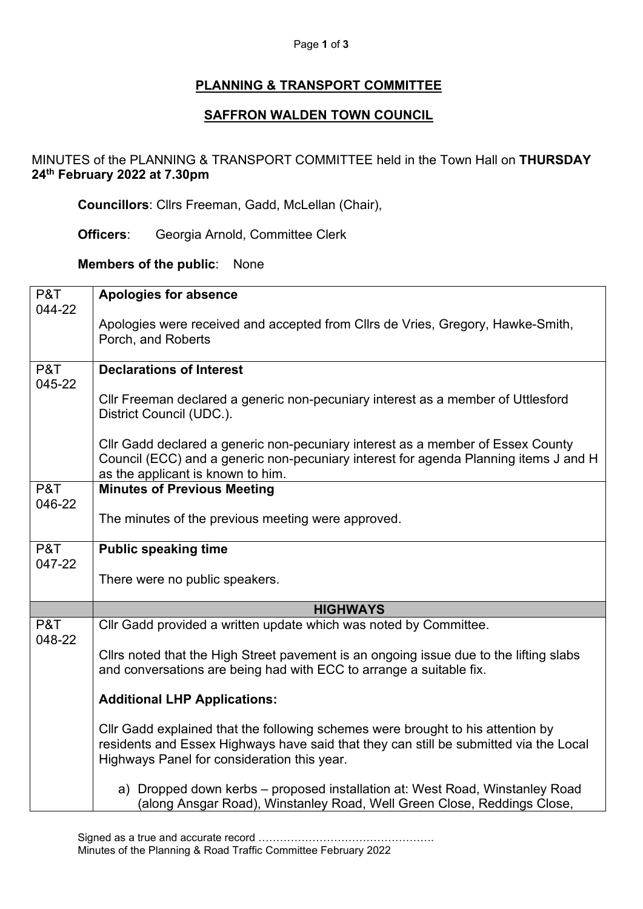## Page **1** of **3**

## **PLANNING & TRANSPORT COMMITTEE**

## **SAFFRON WALDEN TOWN COUNCIL**

MINUTES of the PLANNING & TRANSPORT COMMITTEE held in the Town Hall on **THURSDAY 24th February 2022 at 7.30pm**

**Councillors**: Cllrs Freeman, Gadd, McLellan (Chair),

**Officers**: Georgia Arnold, Committee Clerk

## **Members of the public**: None

| P&T           | <b>Apologies for absence</b>                                                                                                                                                                                 |
|---------------|--------------------------------------------------------------------------------------------------------------------------------------------------------------------------------------------------------------|
| 044-22        |                                                                                                                                                                                                              |
|               | Apologies were received and accepted from Cllrs de Vries, Gregory, Hawke-Smith,                                                                                                                              |
|               | Porch, and Roberts                                                                                                                                                                                           |
| P&T           | <b>Declarations of Interest</b>                                                                                                                                                                              |
| 045-22        |                                                                                                                                                                                                              |
|               | CIIr Freeman declared a generic non-pecuniary interest as a member of Uttlesford<br>District Council (UDC.).                                                                                                 |
|               | Cllr Gadd declared a generic non-pecuniary interest as a member of Essex County<br>Council (ECC) and a generic non-pecuniary interest for agenda Planning items J and H<br>as the applicant is known to him. |
| P&T           | <b>Minutes of Previous Meeting</b>                                                                                                                                                                           |
| 046-22        |                                                                                                                                                                                                              |
|               | The minutes of the previous meeting were approved.                                                                                                                                                           |
|               |                                                                                                                                                                                                              |
| P&T<br>047-22 | <b>Public speaking time</b>                                                                                                                                                                                  |
|               | There were no public speakers.                                                                                                                                                                               |
|               | <b>HIGHWAYS</b>                                                                                                                                                                                              |
| P&T<br>048-22 | Cllr Gadd provided a written update which was noted by Committee.                                                                                                                                            |
|               | Cllrs noted that the High Street pavement is an ongoing issue due to the lifting slabs                                                                                                                       |
|               | and conversations are being had with ECC to arrange a suitable fix.                                                                                                                                          |
|               | <b>Additional LHP Applications:</b>                                                                                                                                                                          |
|               | Cllr Gadd explained that the following schemes were brought to his attention by                                                                                                                              |
|               | residents and Essex Highways have said that they can still be submitted via the Local                                                                                                                        |
|               | Highways Panel for consideration this year.                                                                                                                                                                  |
|               | a) Dropped down kerbs - proposed installation at: West Road, Winstanley Road                                                                                                                                 |
|               | (along Ansgar Road), Winstanley Road, Well Green Close, Reddings Close,                                                                                                                                      |

Signed as a true and accurate record …………………………………………. Minutes of the Planning & Road Traffic Committee February 2022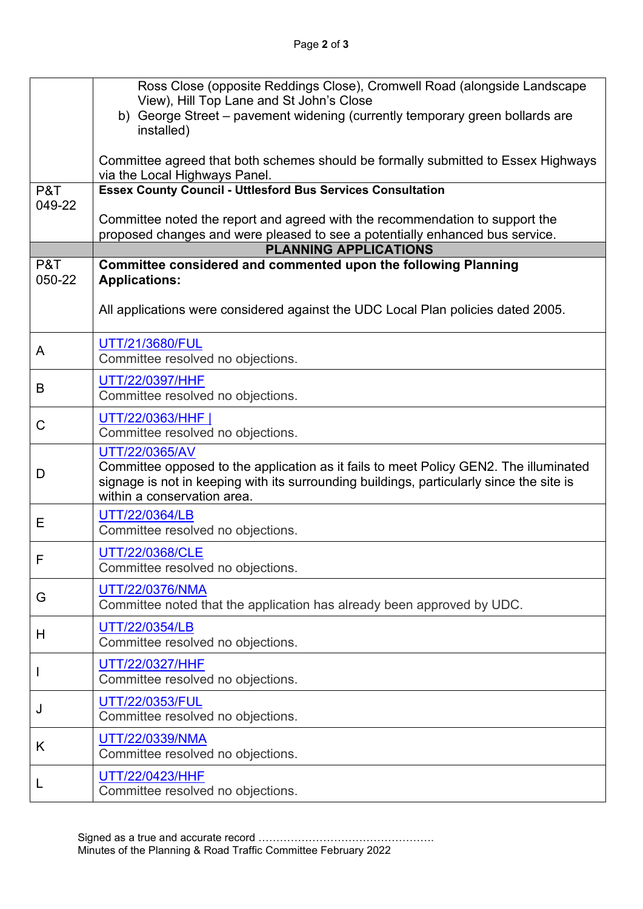|               | Ross Close (opposite Reddings Close), Cromwell Road (alongside Landscape                                                |
|---------------|-------------------------------------------------------------------------------------------------------------------------|
|               | View), Hill Top Lane and St John's Close                                                                                |
|               | b) George Street - pavement widening (currently temporary green bollards are<br>installed)                              |
|               |                                                                                                                         |
|               | Committee agreed that both schemes should be formally submitted to Essex Highways                                       |
|               | via the Local Highways Panel.                                                                                           |
| P&T<br>049-22 | <b>Essex County Council - Uttlesford Bus Services Consultation</b>                                                      |
|               | Committee noted the report and agreed with the recommendation to support the                                            |
|               | proposed changes and were pleased to see a potentially enhanced bus service.                                            |
|               | <b>PLANNING APPLICATIONS</b>                                                                                            |
| P&T           | Committee considered and commented upon the following Planning                                                          |
| 050-22        | <b>Applications:</b>                                                                                                    |
|               | All applications were considered against the UDC Local Plan policies dated 2005.                                        |
|               |                                                                                                                         |
| A             | UTT/21/3680/FUL<br>Committee resolved no objections.                                                                    |
| B             | UTT/22/0397/HHF                                                                                                         |
|               | Committee resolved no objections.                                                                                       |
| C             | UTT/22/0363/HHF                                                                                                         |
|               | Committee resolved no objections.                                                                                       |
|               | UTT/22/0365/AV                                                                                                          |
| D             | Committee opposed to the application as it fails to meet Policy GEN2. The illuminated                                   |
|               | signage is not in keeping with its surrounding buildings, particularly since the site is<br>within a conservation area. |
|               |                                                                                                                         |
| Е             | UTT/22/0364/LB<br>Committee resolved no objections.                                                                     |
|               |                                                                                                                         |
| F             | UTT/22/0368/CLE<br>Committee resolved no objections.                                                                    |
|               |                                                                                                                         |
| G             | UTT/22/0376/NMA                                                                                                         |
|               | Committee noted that the application has already been approved by UDC.                                                  |
| H             | UTT/22/0354/LB                                                                                                          |
|               | Committee resolved no objections.                                                                                       |
|               | UTT/22/0327/HHF                                                                                                         |
|               | Committee resolved no objections.                                                                                       |
| J             | UTT/22/0353/FUL<br>Committee resolved no objections.                                                                    |
| K             | UTT/22/0339/NMA                                                                                                         |
|               | Committee resolved no objections.                                                                                       |
|               | UTT/22/0423/HHF                                                                                                         |
| L             | Committee resolved no objections.                                                                                       |
|               |                                                                                                                         |